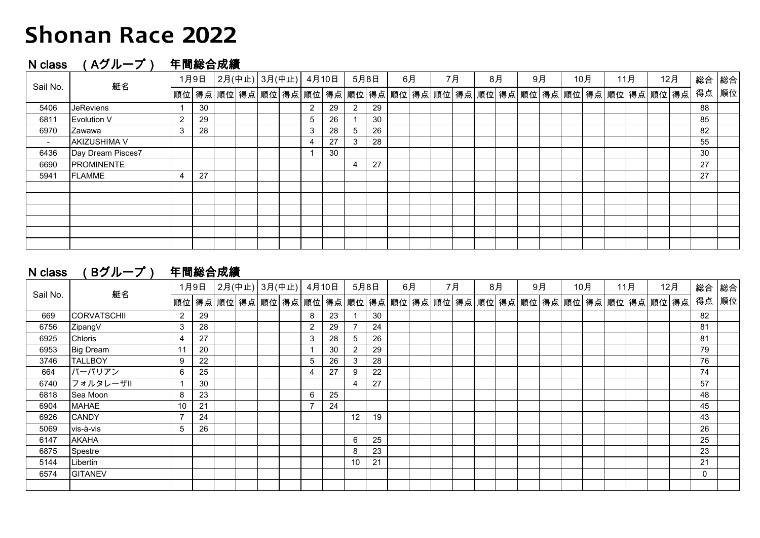## **Shonan Race 2022**

### N class (Aグループ) 年間総合成績

| Sail No. | 艇名                | 1月9日 |    |  |                                                                          | │2月(中止)│3月(中止)│4月10日 |  |                      |    | 5月8日 |    | 6月 |  | 7月 |  | 8月 |  | 9月 |  | 10月 |  | 11月 |  | 12月 |  | 総合 | 総合 |
|----------|-------------------|------|----|--|--------------------------------------------------------------------------|----------------------|--|----------------------|----|------|----|----|--|----|--|----|--|----|--|-----|--|-----|--|-----|--|----|----|
|          |                   |      |    |  | 順位│得点│順位│得点│順位│得点│順位│得点│順位│得点│順位│得点│順位│得点│順位│得点│順位│得点│順位│得点│順位│得点│順位│得点│ |                      |  |                      |    |      |    |    |  |    |  |    |  |    |  |     |  |     |  |     |  | 得点 | 順位 |
| 5406     | <b>JeReviens</b>  |      | 30 |  |                                                                          |                      |  | $\mathbf{2}^{\circ}$ | 29 | 2    | 29 |    |  |    |  |    |  |    |  |     |  |     |  |     |  | 88 |    |
| 6811     | Evolution V       | 2    | 29 |  |                                                                          |                      |  | 5                    | 26 |      | 30 |    |  |    |  |    |  |    |  |     |  |     |  |     |  | 85 |    |
| 6970     | Zawawa            | 3    | 28 |  |                                                                          |                      |  | 3                    | 28 | 5    | 26 |    |  |    |  |    |  |    |  |     |  |     |  |     |  | 82 |    |
| $\sim$   | AKIZUSHIMA V      |      |    |  |                                                                          |                      |  | 4                    | 27 | 3    | 28 |    |  |    |  |    |  |    |  |     |  |     |  |     |  | 55 |    |
| 6436     | Day Dream Pisces7 |      |    |  |                                                                          |                      |  |                      | 30 |      |    |    |  |    |  |    |  |    |  |     |  |     |  |     |  | 30 |    |
| 6690     | <b>PROMINENTE</b> |      |    |  |                                                                          |                      |  |                      |    | 4    | 27 |    |  |    |  |    |  |    |  |     |  |     |  |     |  | 27 |    |
| 5941     | <b>FLAMME</b>     | 4    | 27 |  |                                                                          |                      |  |                      |    |      |    |    |  |    |  |    |  |    |  |     |  |     |  |     |  | 27 |    |
|          |                   |      |    |  |                                                                          |                      |  |                      |    |      |    |    |  |    |  |    |  |    |  |     |  |     |  |     |  |    |    |
|          |                   |      |    |  |                                                                          |                      |  |                      |    |      |    |    |  |    |  |    |  |    |  |     |  |     |  |     |  |    |    |
|          |                   |      |    |  |                                                                          |                      |  |                      |    |      |    |    |  |    |  |    |  |    |  |     |  |     |  |     |  |    |    |
|          |                   |      |    |  |                                                                          |                      |  |                      |    |      |    |    |  |    |  |    |  |    |  |     |  |     |  |     |  |    |    |
|          |                   |      |    |  |                                                                          |                      |  |                      |    |      |    |    |  |    |  |    |  |    |  |     |  |     |  |     |  |    |    |
|          |                   |      |    |  |                                                                          |                      |  |                      |    |      |    |    |  |    |  |    |  |    |  |     |  |     |  |     |  |    |    |

| (Bグループ)<br>N class | 年間総合成績 |
|--------------------|--------|
|--------------------|--------|

| Sail No. | 艇名                 |                |    |  |  | 1月9日 2月(中止) 3月(中止) 4月10日 |  |              |    | 5月8日           |    | 6月 |  | 7月 |  | 8月 |  | 9月 |  | 10月 |  | 11月 |  | 12月 |                                                                           | 総合           | 総合 |
|----------|--------------------|----------------|----|--|--|--------------------------|--|--------------|----|----------------|----|----|--|----|--|----|--|----|--|-----|--|-----|--|-----|---------------------------------------------------------------------------|--------------|----|
|          |                    |                |    |  |  |                          |  |              |    |                |    |    |  |    |  |    |  |    |  |     |  |     |  |     | │順位│得点│順位│得点│順位│得点│順位│得点│順位│得点│順位│得点│順位│得点│順位│得点│順位│得点│順位│得点│順位│得点│順位│得点│ | 得点  順位       |    |
| 669      | <b>CORVATSCHII</b> | $\overline{2}$ | 29 |  |  |                          |  | 8            | 23 |                | 30 |    |  |    |  |    |  |    |  |     |  |     |  |     |                                                                           | 82           |    |
| 6756     | ZipangV            | 3              | 28 |  |  |                          |  | $\mathbf{2}$ | 29 |                | 24 |    |  |    |  |    |  |    |  |     |  |     |  |     |                                                                           | 81           |    |
| 6925     | Chloris            | 4              | 27 |  |  |                          |  | 3            | 28 | 5              | 26 |    |  |    |  |    |  |    |  |     |  |     |  |     |                                                                           | 81           |    |
| 6953     | <b>Big Dream</b>   | 11             | 20 |  |  |                          |  |              | 30 | 2              | 29 |    |  |    |  |    |  |    |  |     |  |     |  |     |                                                                           | 79           |    |
| 3746     | <b>TALLBOY</b>     | 9              | 22 |  |  |                          |  | 5            | 26 | 3              | 28 |    |  |    |  |    |  |    |  |     |  |     |  |     |                                                                           | 76           |    |
| 664      | バーバリアン             | 6              | 25 |  |  |                          |  | 4            | 27 | 9              | 22 |    |  |    |  |    |  |    |  |     |  |     |  |     |                                                                           | 74           |    |
| 6740     | フォルタレーザル           |                | 30 |  |  |                          |  |              |    | $\overline{4}$ | 27 |    |  |    |  |    |  |    |  |     |  |     |  |     |                                                                           | 57           |    |
| 6818     | Sea Moon           | 8              | 23 |  |  |                          |  | 6            | 25 |                |    |    |  |    |  |    |  |    |  |     |  |     |  |     |                                                                           | 48           |    |
| 6904     | MAHAE              | 10             | 21 |  |  |                          |  |              | 24 |                |    |    |  |    |  |    |  |    |  |     |  |     |  |     |                                                                           | 45           |    |
| 6926     | <b>CANDY</b>       | $\overline{7}$ | 24 |  |  |                          |  |              |    | 12             | 19 |    |  |    |  |    |  |    |  |     |  |     |  |     |                                                                           | 43           |    |
| 5069     | vis-à-vis          | 5              | 26 |  |  |                          |  |              |    |                |    |    |  |    |  |    |  |    |  |     |  |     |  |     |                                                                           | 26           |    |
| 6147     | AKAHA              |                |    |  |  |                          |  |              |    | 6              | 25 |    |  |    |  |    |  |    |  |     |  |     |  |     |                                                                           | 25           |    |
| 6875     | Spestre            |                |    |  |  |                          |  |              |    | 8              | 23 |    |  |    |  |    |  |    |  |     |  |     |  |     |                                                                           | 23           |    |
| 5144     | Libertin           |                |    |  |  |                          |  |              |    | 10             | 21 |    |  |    |  |    |  |    |  |     |  |     |  |     |                                                                           | 21           |    |
| 6574     | <b>GITANEV</b>     |                |    |  |  |                          |  |              |    |                |    |    |  |    |  |    |  |    |  |     |  |     |  |     |                                                                           | $\mathbf{0}$ |    |
|          |                    |                |    |  |  |                          |  |              |    |                |    |    |  |    |  |    |  |    |  |     |  |     |  |     |                                                                           |              |    |